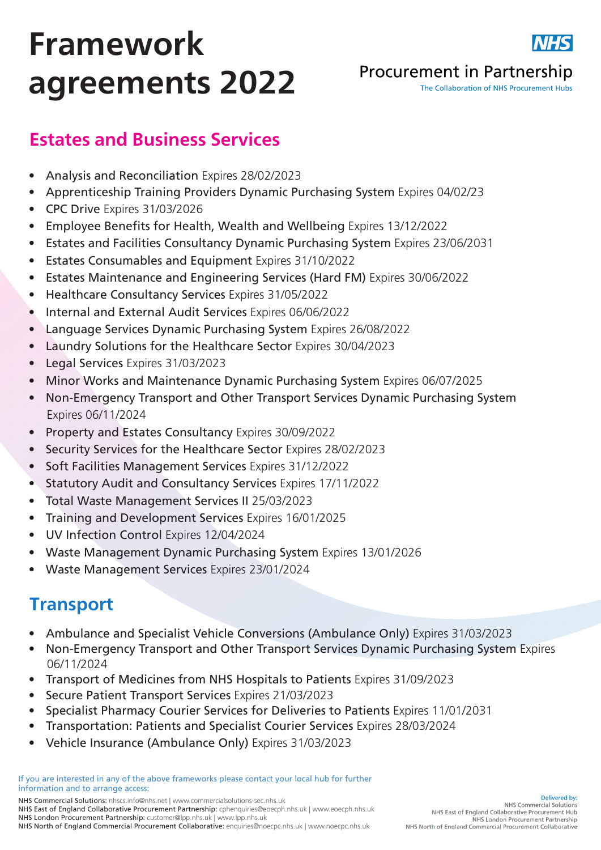# Framework agreements 2022



#### **Procurement in Partnership**

The Collaboration of NHS Procurement Hubs

### Estates and Business Services

- Analysis and Reconciliation Expires 28/02/2023
- Apprenticeship Training Providers Dynamic Purchasing System Expires 04/02/23
- CPC Drive Expires 31/03/2026
- Employee Benefits for Health, Wealth and Wellbeing Expires 13/12/2022
- Estates and Facilities Consultancy Dynamic Purchasing System Expires 23/06/2031
- Estates Consumables and Equipment Expires 31/10/2022
- Estates Maintenance and Engineering Services (Hard FM) Expires 30/06/2022
- Healthcare Consultancy Services Expires 31/05/2022
- Internal and External Audit Services Expires 06/06/2022
- Language Services Dynamic Purchasing System Expires 26/08/2022
- Laundry Solutions for the Healthcare Sector Expires 30/04/2023
- Legal Services Expires 31/03/2023
- Minor Works and Maintenance Dynamic Purchasing System Expires 06/07/2025
- Non-Emergency Transport and Other Transport Services Dynamic Purchasing System Expires 06/11/2024
- Property and Estates Consultancy Expires 30/09/2022
- Security Services for the Healthcare Sector Expires 28/02/2023
- Soft Facilities Management Services Expires 31/12/2022
- Statutory Audit and Consultancy Services Expires 17/11/2022
- Total Waste Management Services II 25/03/2023
- Training and Development Services Expires 16/01/2025
- UV Infection Control Expires 12/04/2024
- Waste Management Dynamic Purchasing System Expires 13/01/2026
- Waste Management Services Expires 23/01/2024

### **Transport**

- Ambulance and Specialist Vehicle Conversions (Ambulance Only) Expires 31/03/2023
- Non-Emergency Transport and Other Transport Services Dynamic Purchasing System Expires 06/11/2024
- Transport of Medicines from NHS Hospitals to Patients Expires 31/09/2023
- Secure Patient Transport Services Expires 21/03/2023
- Specialist Pharmacy Courier Services for Deliveries to Patients Expires 11/01/2031
- Transportation: Patients and Specialist Courier Services Expires 28/03/2024
- Vehicle Insurance (Ambulance Only) Expires 31/03/2023

If you are interested in any of the above frameworks please contact your local hub for further information and to arrange access: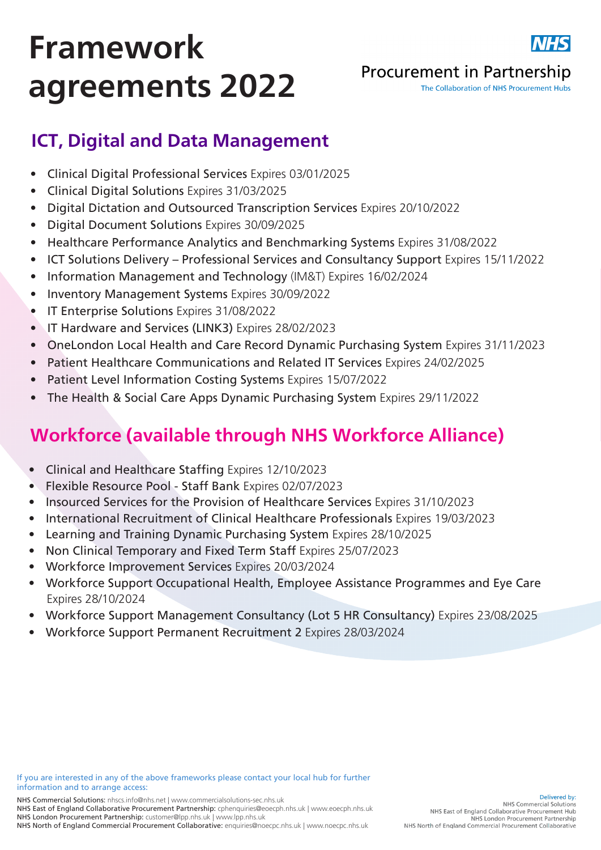

# Framework agreements 2022

#### **Procurement in Partnership**

The Collaboration of NHS Procurement Hubs

## ICT, Digital and Data Management

- Clinical Digital Professional Services Expires 03/01/2025
- Clinical Digital Solutions Expires 31/03/2025
- Digital Dictation and Outsourced Transcription Services Expires 20/10/2022
- Digital Document Solutions Expires 30/09/2025
- Healthcare Performance Analytics and Benchmarking Systems Expires 31/08/2022
- ICT Solutions Delivery Professional Services and Consultancy Support Expires 15/11/2022
- Information Management and Technology (IM&T) Expires 16/02/2024
- Inventory Management Systems Expires 30/09/2022
- IT Enterprise Solutions Expires 31/08/2022
- IT Hardware and Services (LINK3) Expires 28/02/2023
- OneLondon Local Health and Care Record Dynamic Purchasing System Expires 31/11/2023
- Patient Healthcare Communications and Related IT Services Expires 24/02/2025
- Patient Level Information Costing Systems Expires 15/07/2022
- The Health & Social Care Apps Dynamic Purchasing System Expires 29/11/2022

## Workforce (available through NHS Workforce Alliance)

- Clinical and Healthcare Staffing Expires 12/10/2023
- Flexible Resource Pool Staff Bank Expires 02/07/2023
- Insourced Services for the Provision of Healthcare Services Expires 31/10/2023
- International Recruitment of Clinical Healthcare Professionals Expires 19/03/2023
- Learning and Training Dynamic Purchasing System Expires 28/10/2025
- Non Clinical Temporary and Fixed Term Staff Expires 25/07/2023
- Workforce Improvement Services Expires 20/03/2024
- Workforce Support Occupational Health, Employee Assistance Programmes and Eye Care Expires 28/10/2024
- Workforce Support Management Consultancy (Lot 5 HR Consultancy) Expires 23/08/2025
- Workforce Support Permanent Recruitment 2 Expires 28/03/2024